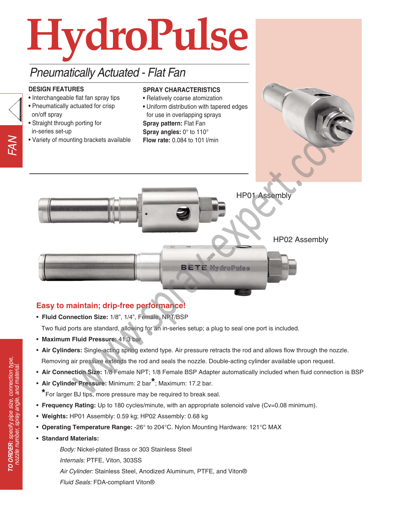

# Pneumatically Actuated - Flat Fan

#### **DESIGN FEATURES**

- Interchangeable flat fan spray tips
- Pneumatically actuated for crisp on/off spray
- Straight through porting for in-series set-up
- Variety of mounting brackets available

#### **SPRAY CHARACTERISTICS**

- Relatively coarse atomization
- Uniform distribution with tapered edges for use in overlapping sprays

**Spray pattern:** Flat Fan **Spray angles:** 0° to 110° **Flow rate:** 0.084 to 101 l/min



# HP01 Assembly

HP02 Assembly **BETE HydroPulse** 

# **Easy to maintain; drip-free performance!**

- **Fluid Connection Size:** 1/8", 1/4", Female, NPT/BSP Two fluid ports are standard, allowing for an in-series setup; a plug to seal one port is included.
- **Maximum Fluid Pressure:** 41.3 bar
- **Air Cylinders:** Single-acting spring extend type. Air pressure retracts the rod and allows flow through the nozzle. Removing air pressure extends the rod and seals the nozzle. Double-acting cylinder available upon request.
- **Air Connection Size:** 1/8 Female NPT; 1/8 Female BSP Adapter automatically included when fluid connection is BSP
- **Air Cylinder Pressure:** Minimum: 2 bar**\***; Maximum: 17.2 bar. **\***For larger BJ tips, more pressure may be required to break seal.
- **Frequency Rating:** Up to 180 cycles/minute, with an appropriate solenoid valve (Cv=0.08 minimum).
- **Weights:** HP01 Assembly: 0.59 kg; HP02 Assembly: 0.68 kg
- **Operating Temperature Range:** -26° to 204°C. Nylon Mounting Hardware: 121°C MAX
- **Standard Materials:**

Body: Nickel-plated Brass or 303 Stainless Steel Internals: PTFE, Viton, 303SS Air Cylinder: Stainless Steel, Anodized Aluminum, PTFE, and Viton® Fluid Seals: FDA-compliant Viton®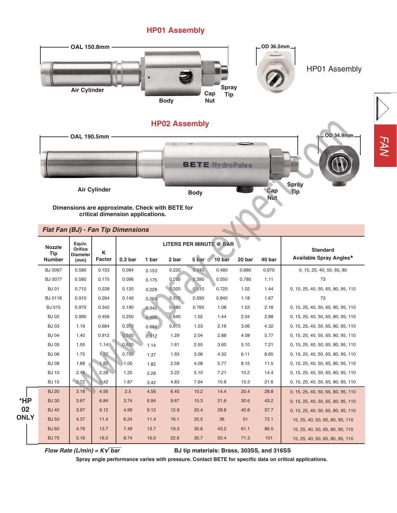### **HP01 Assembly**



FAN

|             |  | BJ 0067        | 0.580 | 0.153 | 0.084 | 0.153 | 0.220 | 0.340 | 0.480 | 0.680 | 0.970 | 0, 15, 25, 40, 50, 65, 80          |
|-------------|--|----------------|-------|-------|-------|-------|-------|-------|-------|-------|-------|------------------------------------|
|             |  | <b>BJ 0077</b> | 0.580 | 0.175 | 0.096 | 0.175 | 0.250 | 0.390 | 0.550 | 0.780 | 1.11  | 73                                 |
|             |  | <b>BJ 01</b>   | 0.710 | 0.228 | 0.120 | 0.228 | 0.320 | 0.510 | 0.720 | 1.02  | 1.44  | 0, 15, 25, 40, 50, 65, 80, 95, 110 |
|             |  | BJ 0116        | 0.910 | 0.264 | 0.140 | 0.264 | 0.370 | 0.590 | 0.840 | 1.18  | 1.67  | 73                                 |
|             |  | <b>BJ 015</b>  | 0.970 | 0.342 | 0.190 | 0.342 | 0.480 | 0.760 | 1.08  | 1.53  | 2.16  | 0, 15, 25, 40, 50, 65, 80, 95, 110 |
|             |  | <b>BJ 02</b>   | 0.990 | 0.456 | 0.250 | 0.456 | 0.640 | 1.02  | 1.44  | 2.04  | 2.88  | 0, 15, 25, 40, 50, 65, 80, 95, 110 |
|             |  | <b>BJ03</b>    | 1.19  | 0.684 | 0.370 | 0.684 | 0.970 | 1.53  | 2.16  | 3.06  | 4.32  | 0, 15, 25, 40, 50, 65, 80, 95, 110 |
|             |  | <b>BJ 04</b>   | 1.40  | 0.912 | 0.500 | 0.912 | 1.29  | 2.04  | 2.88  | 4.08  | 5.77  | 0, 15, 25, 40, 50, 65, 80, 95, 110 |
|             |  | <b>BJ 05</b>   | 1.55  | 1.14  | 0.620 | 1.14  | 1.61  | 2.55  | 3.60  | 5.10  | 7.21  | 0, 15, 25, 40, 50, 65, 80, 95, 110 |
|             |  | <b>BJ 06</b>   | 1.70  | 1.37  | 0.750 | 1.37  | 1.93  | 3.06  | 4.32  | 6.11  | 8.65  | 0, 15, 25, 40, 50, 65, 80, 95, 110 |
|             |  | <b>BJ 08</b>   | 1.88  | 1.82  | 1.00  | 1.82  | 2.58  | 4.08  | 5.77  | 8.15  | 11.5  | 0, 15, 25, 40, 50, 65, 80, 95, 110 |
|             |  | <b>BJ 10</b>   | 2.18  | 2.28  | 1.25  | 2.28  | 3.22  | 5.10  | 7.21  | 10.2  | 14.4  | 0, 15, 25, 40, 50, 65, 80, 95, 110 |
|             |  | <b>BJ 15</b>   | 2.72  | 3.42  | 1.87  | 3.42  | 4.83  | 7.64  | 10.8  | 15.3  | 21.6  | 0, 15, 25, 40, 50, 65, 80, 95, 110 |
|             |  | <b>BJ 20</b>   | 3.18  | 4.56  | 2.5   | 4.56  | 6.45  | 10.2  | 14.4  | 20.4  | 28.8  | 0, 15, 25, 40, 50, 65, 80, 95, 110 |
| *HP         |  | <b>BJ 30</b>   | 3.67  | 6.84  | 3.74  | 6.84  | 9.67  | 15.3  | 21.6  | 30.6  | 43.2  | 0, 15, 25, 40, 50, 65, 80, 95, 110 |
| 02          |  | <b>BJ 40</b>   | 3.97  | 9.12  | 4.99  | 9.12  | 12.9  | 20.4  | 28.8  | 40.8  | 57.7  | 0, 15, 25, 40, 50, 65, 80, 95, 110 |
| <b>ONLY</b> |  | <b>BJ 50</b>   | 4.37  | 11.4  | 6.24  | 11.4  | 16.1  | 25.5  | 36    | 51    | 72.1  | 15, 25, 40, 50, 65, 80, 95, 110    |
|             |  | <b>BJ 60</b>   | 4.76  | 13.7  | 7.49  | 13.7  | 19.3  | 30.6  | 43.2  | 61.1  | 86.5  | 15, 25, 40, 50, 65, 80, 95, 110    |
|             |  | <b>BJ70</b>    | 5.16  | 16.0  | 8.74  | 16.0  | 22.6  | 35.7  | 50.4  | 71.3  | 101   | 15, 25, 40, 50, 65, 80, 95, 110    |
|             |  |                |       |       |       |       |       |       |       |       |       |                                    |

**Flow Rate (L/min) =**  $K\sqrt{bar}$  **<b>BI** tip materials: Brass, 303SS, and 316SS

**Spray angle performance varies with pressure. Contact BETE for specific data on critical applications.**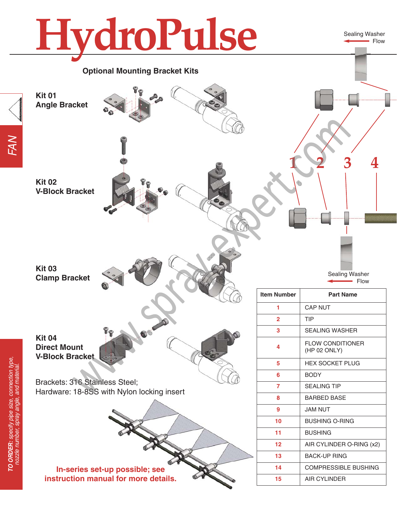# **HydroPulse**

**Optional Mounting Bracket Kits**

Sealing Washer Flow



**Kit 01**

**Kit 02**

**Kit 03**

**V-Block Bracket**

**Angle Bracket**





- Flow

| <b>Item Number</b> | <b>Part Name</b>                        |  |  |  |  |  |  |
|--------------------|-----------------------------------------|--|--|--|--|--|--|
| 1                  | <b>CAP NUT</b>                          |  |  |  |  |  |  |
| 2                  | TIP                                     |  |  |  |  |  |  |
| 3                  | <b>SEALING WASHER</b>                   |  |  |  |  |  |  |
| 4                  | <b>FLOW CONDITIONER</b><br>(HP 02 ONLY) |  |  |  |  |  |  |
| 5                  | <b>HEX SOCKET PLUG</b>                  |  |  |  |  |  |  |
| 6                  | <b>BODY</b>                             |  |  |  |  |  |  |
| 7                  | <b>SEALING TIP</b>                      |  |  |  |  |  |  |
| 8                  | <b>BARBED BASE</b>                      |  |  |  |  |  |  |
| 9                  | JAM NUT                                 |  |  |  |  |  |  |
| 10                 | <b>BUSHING O-RING</b>                   |  |  |  |  |  |  |
| 11                 | <b>BUSHING</b>                          |  |  |  |  |  |  |
| 12                 | AIR CYLINDER O-RING (x2)                |  |  |  |  |  |  |
| 13                 | <b>BACK-UP RING</b>                     |  |  |  |  |  |  |
| 14                 | <b>COMPRESSIBLE BUSHING</b>             |  |  |  |  |  |  |
| 15                 | <b>AIR CYLINDER</b>                     |  |  |  |  |  |  |

**Kit 04 Direct Mount V-Block Bracket**

**Clamp Bracket**

Brackets: 316 Stainless Steel; Hardware: 18-8SS with Nylon locking insert

**In-series set-up possible; see instruction manual for more details.**